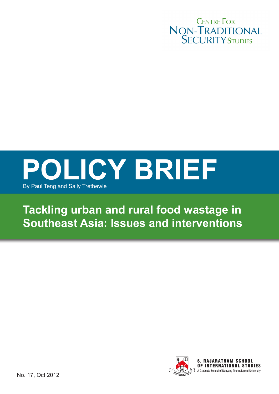



# **Tackling urban and rural food wastage in Southeast Asia: Issues and interventions**

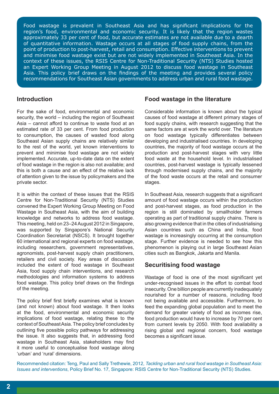Food wastage is prevalent in Southeast Asia and has significant implications for the region's food, environmental and economic security. It is likely that the region wastes approximately 33 per cent of food, but accurate estimates are not available due to a dearth of quantitative information. Wastage occurs at all stages of food supply chains, from the point of production to post-harvest, retail and consumption. Effective interventions to prevent and minimise food wastage exist but are not widely implemented in Southeast Asia. In the context of these issues, the RSIS Centre for Non-Traditional Security (NTS) Studies hosted an Expert Working Group Meeting in August 2012 to discuss food wastage in Southeast Asia. This policy brief draws on the findings of the meeting and provides several policy recommendations for Southeast Asian governments to address urban and rural food wastage.

# **Introduction**

For the sake of food, environmental and economic security, the world – including the region of Southeast Asia – cannot afford to continue to waste food at an estimated rate of 33 per cent. From food production to consumption, the causes of wasted food along Southeast Asian supply chains are relatively similar to the rest of the world, yet known interventions to prevent and minimise food wastage are not widely implemented. Accurate, up-to-date data on the extent of food wastage in the region is also not available; and this is both a cause and an effect of the relative lack of attention given to the issue by policymakers and the private sector.

It is within the context of these issues that the RSIS Centre for Non-Traditional Security (NTS) Studies convened the Expert Working Group Meeting on Food Wastage in Southeast Asia, with the aim of building knowledge and networks to address food wastage. This meeting, held on 23–24 August 2012 in Singapore, was supported by Singapore's National Security Coordination Secretariat (NSCS). It brought together 60 international and regional experts on food wastage, including researchers, government representatives, agronomists, post-harvest supply chain practitioners, retailers and civil society. Key areas of discussion included the extent of food wastage in Southeast Asia, food supply chain interventions, and research methodologies and information systems to address food wastage. This policy brief draws on the findings of the meeting.

The policy brief first briefly examines what is known (and not known) about food wastage. It then looks at the food, environmental and economic security implications of food wastage, relating these to the context of Southeast Asia. The policy brief concludes by outlining five possible policy pathways for addressing the issue. It also suggests that, in addressing food wastage in Southeast Asia, stakeholders may find it more useful to conceptualise food wastage along 'urban' and 'rural' dimensions.

### **Food wastage in the literature**

Considerable information is known about the typical causes of food wastage at different primary stages of food supply chains, with research suggesting that the same factors are at work the world over. The literature on food wastage typically differentiates between developing and industrialised countries. In developing countries, the majority of food wastage occurs at the production and post-harvest stages with very little food waste at the household level. In industrialised countries, post-harvest wastage is typically lessened through modernised supply chains, and the majority of the food waste occurs at the retail and consumer stages.

In Southeast Asia, research suggests that a significant amount of food wastage occurs within the production and post-harvest stages, as food production in the region is still dominated by smallholder farmers operating as part of traditional supply chains. There is also growing evidence that in the cities of industrialising Asian countries such as China and India, food wastage is increasingly occurring at the consumption stage. Further evidence is needed to see how this phenomenon is playing out in large Southeast Asian cities such as Bangkok, Jakarta and Manila.

# **Securitising food wastage**

Wastage of food is one of the most significant yet under-recognised issues in the effort to combat food insecurity. One billion people are currently inadequately nourished for a number of reasons, including food not being available and accessible. Furthermore, to feed the expanding global population and to meet the demand for greater variety of food as incomes rise, food production would have to increase by 70 per cent from current levels by 2050. With food availability a rising global and regional concern, food wastage becomes a significant issue.

Recommended citation: Teng, Paul and Sally Trethewie, 2012, *Tackling urban and rural food wastage in Southeast Asia: Issues and interventions*, Policy Brief No. 17, Singapore: RSIS Centre for Non-Traditional Security (NTS) Studies.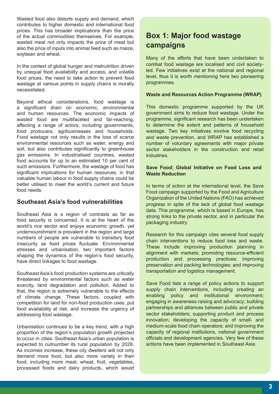Wasted food also distorts supply and demand, which contributes to higher domestic and international food prices. This has broader implications than the price of the actual commodities themselves. For example, wasted meat not only impacts the price of meat but also the price of inputs into animal feed such as maize, soybean and wheat.

In the context of global hunger and malnutrition driven by unequal food availability and access, and volatile food prices, the need to take action to prevent food wastage at various points in supply chains is morally necessitated.

Beyond ethical considerations, food wastage is a significant drain on economic, environmental and human resources. The economic impacts of wasted food are multifaceted and far-reaching, affecting a range of actors, including governments, food producers, agribusinesses and households. Food wastage not only results in the loss of scarce environmental resources such as water, energy and soil, but also contributes significantly to greenhouse gas emissions. In industrialised countries, wasted food accounts for up to an estimated 10 per cent of such emissions. Furthermore, the wastage of food has significant implications for human resources, in that valuable human labour in food supply chains could be better utilised to meet the world's current and future food needs.

# **Southeast Asia's food vulnerabilities**

Southeast Asia is a region of contrasts as far as food security is concerned. It is at the heart of the world's rice sector and enjoys economic growth, yet undernourishment is prevalent in the region and large numbers of people are vulnerable to transitory food insecurity as food prices fluctuate. Environmental stresses and urbanisation, two important factors shaping the dynamics of the region's food security, have direct linkages to food wastage.

Southeast Asia's food production systems are critically threatened by environmental factors such as water scarcity, land degradation and pollution. Added to that, the region is extremely vulnerable to the effects of climate change. These factors, coupled with competition for land for non-food production uses, put food availability at risk, and increase the urgency of addressing food wastage.

Urbanisation continues to be a key trend, with a high proportion of the region's population growth projected to occur in cities. Southeast Asia's urban population is expected to outnumber its rural population by 2028. As incomes increase, these city dwellers will not only demand more food, but also more variety in their food, including more meat, wheat, fruit, vegetables, processed foods and dairy products, which would

# **Box 1: Major food wastage campaigns**

Many of the efforts that have been undertaken to combat food wastage are localised and civil societyled. Few initiatives exist at the national and regional level, thus it is worth mentioning here two pioneering programmes.

#### **Waste and Resources Action Programme (WRAP)**

This domestic programme supported by the UK government aims to reduce food wastage. Under the programme, significant research has been undertaken to determine the extent and patterns of household wastage. Two key initiatives involve food recycling and waste prevention, and WRAP has established a number of voluntary agreements with major private sector stakeholders in the construction and retail **industries** 

#### **Save Food: Global Initiative on Food Loss and Waste Reduction**

In terms of action at the international level, the Save Food campaign supported by the Food and Agriculture Organization of the United Nations (FAO) has achieved progress in spite of the lack of global food wastage data. This programme, which is based in Europe, has strong links to the private sector, and in particular the packaging industry.

Research for this campaign cites several food supply chain interventions to reduce food loss and waste. These include improving production planning in alignment with markets; promoting resource-efficient production and processing practices; improving preservation and packing technologies; and improving transportation and logistics management.

Save Food lists a range of policy actions to support supply chain interventions, including creating an enabling policy and institutional environment; engaging in awareness raising and advocacy; building partnerships and alliances between public and private sector stakeholders; supporting product and process innovation; developing the capacity of small- and medium-scale food chain operators; and improving the capacity of regional institutions, national government officials and development agencies. Very few of these actions have been implemented in Southeast Asia.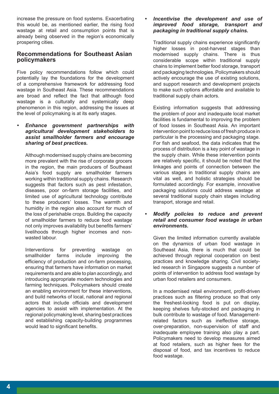increase the pressure on food systems. Exacerbating this would be, as mentioned earlier, the rising food wastage at retail and consumption points that is already being observed in the region's economically prospering cities.

# **Recommendations for Southeast Asian policymakers**

Five policy recommendations follow which could potentially lay the foundations for the development of a comprehensive framework for addressing food wastage in Southeast Asia. These recommendations are broad and reflect the fact that although food wastage is a culturally and systemically deep phenomenon in this region, addressing the issues at the level of policymaking is at its early stages.

*Enhance government partnerships with agricultural development stakeholders to assist smallholder farmers and encourage sharing of best practices.*

Although modernised supply chains are becoming more prevalent with the rise of corporate grocers in the region, the main producers of Southeast Asia's food supply are smallholder farmers working within traditional supply chains. Research suggests that factors such as pest infestation, diseases, poor on-farm storage facilities, and limited use of agricultural technology contribute to these producers' losses. The warmth and humidity in the region also account for much of the loss of perishable crops. Building the capacity of smallholder farmers to reduce food wastage not only improves availability but benefits farmers' livelihoods through higher incomes and nonwasted labour.

Interventions for preventing wastage on smallholder farms include improving the efficiency of production and on-farm processing, ensuring that farmers have information on market requirements and are able to plan accordingly, and introducing appropriate modern technologies and farming techniques. Policymakers should create an enabling environment for these interventions, and build networks of local, national and regional actors that include officials and development agencies to assist with implementation. At the regional policymaking level, sharing best practices and establishing capacity-building programmes would lead to significant benefits.

#### *• Incentivise the development and use of improved food storage, transport and packaging in traditional supply chains.*

Traditional supply chains experience significantly higher losses in post-harvest stages than modernised supply chains. There is thus considerable scope within traditional supply chains to implement better food storage, transport and packaging technologies. Policymakers should actively encourage the use of existing solutions, and support research and development projects to make such options affordable and available to traditional supply chain actors.

Existing information suggests that addressing the problem of poor and inadequate local market facilities is fundamental to improving the problem of food losses in Southeast Asia. An important intervention point to reduce loss of fresh produce in particular is the processing and packaging stage. For fish and seafood, the data indicates that the process of distribution is a key point of wastage in the supply chain. While these intervention points are relatively specific, it should be noted that the linkages and points of connection between the various stages in traditional supply chains are vital as well, and holistic strategies should be formulated accordingly. For example, innovative packaging solutions could address wastage at several traditional supply chain stages including transport, storage and retail.

*• Modify policies to reduce and prevent retail and consumer food wastage in urban environments.*

Given the limited information currently available on the dynamics of urban food wastage in Southeast Asia, there is much that could be achieved through regional cooperation on best practices and knowledge sharing. Civil societyled research in Singapore suggests a number of points of intervention to address food wastage by urban food retailers and consumers.

In a modernised retail environment, profit-driven practices such as filtering produce so that only the freshest-looking food is put on display, keeping shelves fully-stocked and packaging in bulk contribute to wastage of food. Managementrelated factors such as ineffective storage, over-preparation, non-supervision of staff and inadequate employee training also play a part. Policymakers need to develop measures aimed at food retailers, such as higher fees for the disposal of food, and tax incentives to reduce food wastage.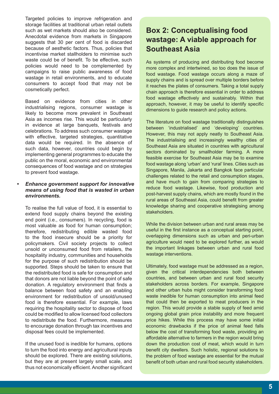Targeted policies to improve refrigeration and storage facilities at traditional urban retail outlets such as wet markets should also be considered. Anecdotal evidence from markets in Singapore suggests that 30 per cent of food is discarded because of aesthetic factors. Thus, policies that incentivise market stallholders to minimise such waste could be of benefit. To be effective, such policies would need to be complemented by campaigns to raise public awareness of food wastage in retail environments, and to educate consumers to accept food that may not be cosmetically perfect.

Based on evidence from cities in other industrialising regions, consumer wastage is likely to become more prevalent in Southeast Asia as incomes rise. This would be particularly in evidence at large banquets, festivals and celebrations. To address such consumer wastage with effective, targeted strategies, quantitative data would be required. In the absence of such data, however, countries could begin by implementing general programmes to educate the public on the moral, economic and environmental consequences of food wastage and on strategies to prevent food wastage.

#### *Enhance government support for innovative means of using food that is wasted in urban environments.*

To realise the full value of food, it is essential to extend food supply chains beyond the existing end point (i.e., consumers). In recycling, food is most valuable as food for human consumption; therefore, redistributing edible wasted food to the food insecure should be a priority for policymakers. Civil society projects to collect unsold or unconsumed food from retailers, the hospitality industry, communities and households for the purpose of such redistribution should be supported. Steps should be taken to ensure that the redistributed food is safe for consumption and that donors are not liable beyond the point of safe donation. A regulatory environment that finds a balance between food safety and an enabling environment for redistribution of unsold/unused food is therefore essential. For example, laws requiring the hospitality sector to dispose of food could be modified to allow licensed food collectors to redistribute the food. Furthermore, measures to encourage donation through tax incentives and disposal fees could be implemented.

If the unused food is inedible for humans, options to turn the food into energy and agricultural inputs should be explored. There are existing solutions, but they are at present largely small scale, and thus not economically efficient. Another significant

# **Box 2: Conceptualising food wastage: A viable approach for Southeast Asia**

As systems of producing and distributing food become more complex and intertwined, so too does the issue of food wastage. Food wastage occurs along a maze of supply chains and is spread over multiple borders before it reaches the plates of consumers. Taking a total supply chain approach is therefore essential in order to address food wastage effectively and sustainably. Within that approach, however, it may be useful to identify specific dimensions to guide research and policy actions.

The literature on food wastage traditionally distinguishes between 'industrialised' and 'developing' countries. However, this may not apply neatly to Southeast Asia. The industrialising and increasingly wealthy cities of Southeast Asia are situated in countries with agricultural sectors dominated by smallholder farming. A more feasible exercise for Southeast Asia may be to examine food wastage along 'urban' and 'rural' lines. Cities such as Singapore, Manila, Jakarta and Bangkok face particular challenges related to the retail and consumption stages, and have much to gain from comparing strategies to reduce food wastage. Likewise, food production and post-harvest supply chains, which are mostly found in the rural areas of Southeast Asia, could benefit from greater knowledge sharing and cooperative strategising among stakeholders.

While the division between urban and rural areas may be useful in the first instance as a conceptual starting point, overlapping dimensions such as urban and peri-urban agriculture would need to be explored further, as would the important linkages between urban and rural food wastage interventions.

Ultimately, food wastage must be addressed as a region, given the critical interdependencies both between countries, and between urban and rural food security stakeholders across borders. For example, Singapore and other urban hubs might consider transforming food waste inedible for human consumption into animal feed that could then be exported to meat producers in the region. This would provide a stable supply of feed amid ongoing global grain price instability and more frequent price hikes. While this process may have some initial economic drawbacks if the price of animal feed falls below the cost of transforming food waste, providing an affordable alternative to farmers in the region would bring down the production cost of meat, which would in turn benefit city dwellers. Such holistic, regional solutions to the problem of food wastage are essential for the mutual benefit of both urban and rural food security stakeholders.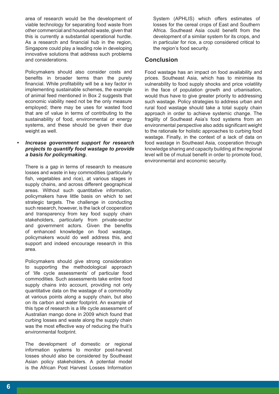area of research would be the development of viable technology for separating food waste from other commercial and household waste, given that this is currently a substantial operational hurdle. As a research and financial hub in the region, Singapore could play a leading role in developing innovative solutions that address such problems and considerations.

Policymakers should also consider costs and benefits in broader terms than the purely financial. While profitability will be a key factor in implementing sustainable schemes, the example of animal feed mentioned in Box 2 suggests that economic viability need not be the only measure employed; there may be uses for wasted food that are of value in terms of contributing to the sustainability of food, environmental or energy systems, and these should be given their due weight as well.

#### *• Increase government support for research projects to quantify food wastage to provide a basis for policymaking.*

There is a gap in terms of research to measure losses and waste in key commodities (particularly fish, vegetables and rice), at various stages in supply chains, and across different geographical areas. Without such quantitative information, policymakers have little basis on which to set strategic targets. The challenge in conducting such research, however, is the lack of cooperation and transparency from key food supply chain stakeholders, particularly from private-sector and government actors. Given the benefits of enhanced knowledge on food wastage, policymakers would do well address this, and support and indeed encourage research in this area.

Policymakers should give strong consideration to supporting the methodological approach of 'life cycle assessments' of particular food commodities. Such assessments take entire food supply chains into account, providing not only quantitative data on the wastage of a commodity at various points along a supply chain, but also on its carbon and water footprint. An example of this type of research is a life cycle assessment of Australian mango done in 2009 which found that curbing losses and waste along the supply chain was the most effective way of reducing the fruit's environmental footprint.

The development of domestic or regional information systems to monitor post-harvest losses should also be considered by Southeast Asian policy stakeholders. A potential model is the African Post Harvest Losses Information

System (APHLIS) which offers estimates of losses for the cereal crops of East and Southern Africa. Southeast Asia could benefit from the development of a similar system for its crops, and in particular for rice, a crop considered critical to the region's food security.

# **Conclusion**

Food wastage has an impact on food availability and prices. Southeast Asia, which has to minimise its vulnerability to food supply shocks and price volatility in the face of population growth and urbanisation, would thus have to give greater priority to addressing such wastage. Policy strategies to address urban and rural food wastage should take a total supply chain approach in order to achieve systemic change. The fragility of Southeast Asia's food systems from an environmental perspective also adds significant weight to the rationale for holistic approaches to curbing food wastage. Finally, in the context of a lack of data on food wastage in Southeast Asia, cooperation through knowledge sharing and capacity building at the regional level will be of mutual benefit in order to promote food, environmental and economic security.